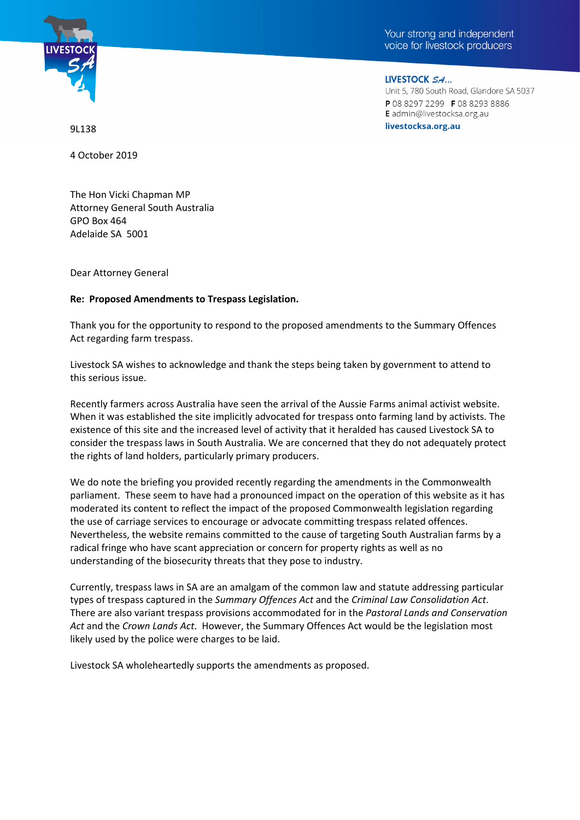



LIVESTOCK SA... Unit 5, 780 South Road, Glandore SA 5037 P0882972299 F0882938886 E admin@livestocksa.org.au livestocksa.org.au

9L138

4 October 2019

The Hon Vicki Chapman MP Attorney General South Australia GPO Box 464 Adelaide SA 5001

Dear Attorney General

## **Re: Proposed Amendments to Trespass Legislation.**

Thank you for the opportunity to respond to the proposed amendments to the Summary Offences Act regarding farm trespass.

Livestock SA wishes to acknowledge and thank the steps being taken by government to attend to this serious issue.

Recently farmers across Australia have seen the arrival of the Aussie Farms animal activist website. When it was established the site implicitly advocated for trespass onto farming land by activists. The existence of this site and the increased level of activity that it heralded has caused Livestock SA to consider the trespass laws in South Australia. We are concerned that they do not adequately protect the rights of land holders, particularly primary producers.

We do note the briefing you provided recently regarding the amendments in the Commonwealth parliament. These seem to have had a pronounced impact on the operation of this website as it has moderated its content to reflect the impact of the proposed Commonwealth legislation regarding the use of carriage services to encourage or advocate committing trespass related offences. Nevertheless, the website remains committed to the cause of targeting South Australian farms by a radical fringe who have scant appreciation or concern for property rights as well as no understanding of the biosecurity threats that they pose to industry.

Currently, trespass laws in SA are an amalgam of the common law and statute addressing particular types of trespass captured in the *Summary Offences Act* and the *Criminal Law Consolidation Act*. There are also variant trespass provisions accommodated for in the *Pastoral Lands and Conservation Act* and the *Crown Lands Act*. However, the Summary Offences Act would be the legislation most likely used by the police were charges to be laid.

Livestock SA wholeheartedly supports the amendments as proposed.